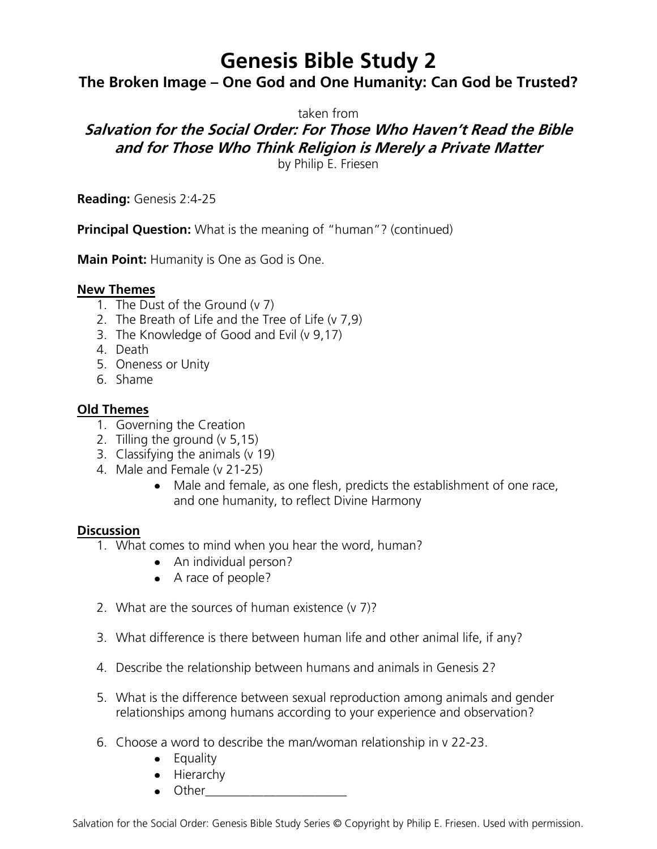# **Genesis Bible Study 2**

## **The Broken Image – One God and One Humanity: Can God be Trusted?**

taken from

## **Salvation for the Social Order: For Those Who Haven't Read the Bible and for Those Who Think Religion is Merely a Private Matter**

by Philip E. Friesen

**Reading:** Genesis 2:4-25

**Principal Question:** What is the meaning of "human"? (continued)

**Main Point:** Humanity is One as God is One.

#### **New Themes**

- 1. The Dust of the Ground (v 7)
- 2. The Breath of Life and the Tree of Life (v 7,9)
- 3. The Knowledge of Good and Evil (v 9,17)
- 4. Death
- 5. Oneness or Unity
- 6. Shame

#### **Old Themes**

- 1. Governing the Creation
- 2. Tilling the ground (v 5,15)
- 3. Classifying the animals (v 19)
- 4. Male and Female (v 21-25)
	- Male and female, as one flesh, predicts the establishment of one race, and one humanity, to reflect Divine Harmony

#### **Discussion**

- 1. What comes to mind when you hear the word, human?
	- An individual person?
	- A race of people?
- 2. What are the sources of human existence (v 7)?
- 3. What difference is there between human life and other animal life, if any?
- 4. Describe the relationship between humans and animals in Genesis 2?
- 5. What is the difference between sexual reproduction among animals and gender relationships among humans according to your experience and observation?
- 6. Choose a word to describe the man/woman relationship in v 22-23.
	- Equality
	- Hierarchy
	- $\bullet$  Other

Salvation for the Social Order: Genesis Bible Study Series © Copyright by Philip E. Friesen. Used with permission.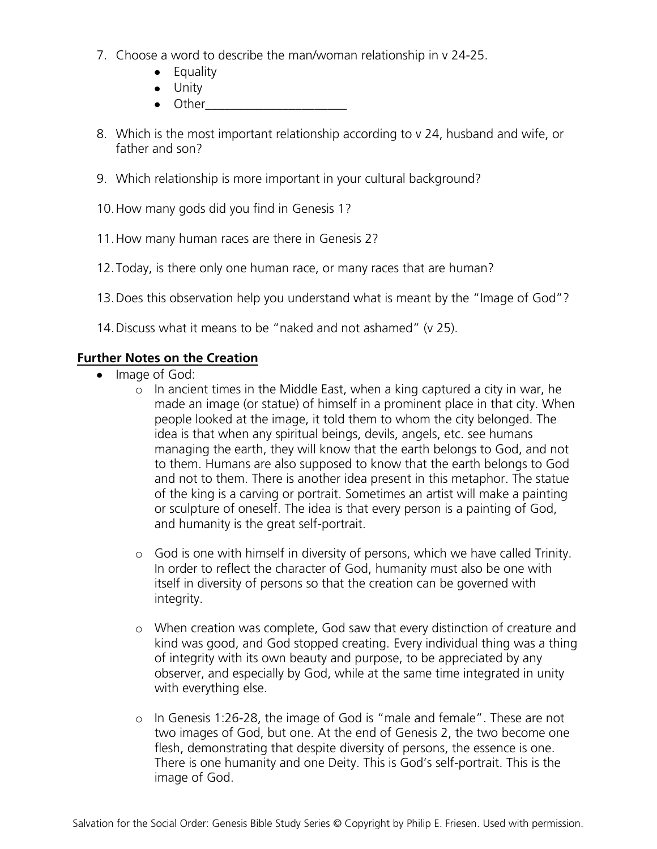- 7. Choose a word to describe the man/woman relationship in v 24-25.
	- Equality
	- Unity
	- $\bullet$  Other
- 8. Which is the most important relationship according to v 24, husband and wife, or father and son?
- 9. Which relationship is more important in your cultural background?
- 10.How many gods did you find in Genesis 1?
- 11.How many human races are there in Genesis 2?
- 12.Today, is there only one human race, or many races that are human?
- 13.Does this observation help you understand what is meant by the "Image of God"?
- 14.Discuss what it means to be "naked and not ashamed" (v 25).

### **Further Notes on the Creation**

- Image of God:
	- o In ancient times in the Middle East, when a king captured a city in war, he made an image (or statue) of himself in a prominent place in that city. When people looked at the image, it told them to whom the city belonged. The idea is that when any spiritual beings, devils, angels, etc. see humans managing the earth, they will know that the earth belongs to God, and not to them. Humans are also supposed to know that the earth belongs to God and not to them. There is another idea present in this metaphor. The statue of the king is a carving or portrait. Sometimes an artist will make a painting or sculpture of oneself. The idea is that every person is a painting of God, and humanity is the great self-portrait.
	- o God is one with himself in diversity of persons, which we have called Trinity. In order to reflect the character of God, humanity must also be one with itself in diversity of persons so that the creation can be governed with integrity.
	- o When creation was complete, God saw that every distinction of creature and kind was good, and God stopped creating. Every individual thing was a thing of integrity with its own beauty and purpose, to be appreciated by any observer, and especially by God, while at the same time integrated in unity with everything else.
	- o In Genesis 1:26-28, the image of God is "male and female". These are not two images of God, but one. At the end of Genesis 2, the two become one flesh, demonstrating that despite diversity of persons, the essence is one. There is one humanity and one Deity. This is God's self-portrait. This is the image of God.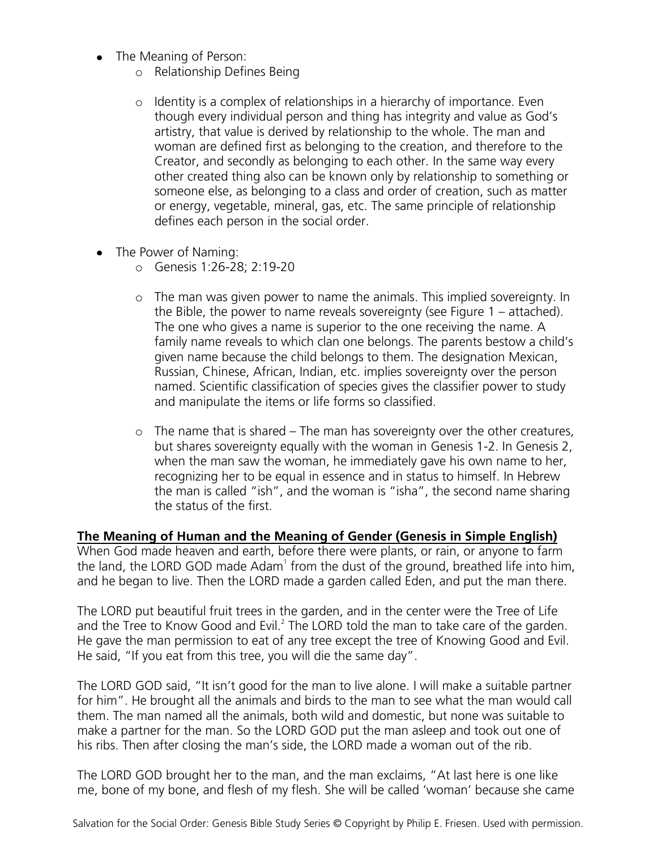- The Meaning of Person:
	- o Relationship Defines Being
	- o Identity is a complex of relationships in a hierarchy of importance. Even though every individual person and thing has integrity and value as God's artistry, that value is derived by relationship to the whole. The man and woman are defined first as belonging to the creation, and therefore to the Creator, and secondly as belonging to each other. In the same way every other created thing also can be known only by relationship to something or someone else, as belonging to a class and order of creation, such as matter or energy, vegetable, mineral, gas, etc. The same principle of relationship defines each person in the social order.
- The Power of Naming:
	- o Genesis 1:26-28; 2:19-20
	- o The man was given power to name the animals. This implied sovereignty. In the Bible, the power to name reveals sovereignty (see Figure 1 – attached). The one who gives a name is superior to the one receiving the name. A family name reveals to which clan one belongs. The parents bestow a child's given name because the child belongs to them. The designation Mexican, Russian, Chinese, African, Indian, etc. implies sovereignty over the person named. Scientific classification of species gives the classifier power to study and manipulate the items or life forms so classified.
	- o The name that is shared The man has sovereignty over the other creatures, but shares sovereignty equally with the woman in Genesis 1-2. In Genesis 2, when the man saw the woman, he immediately gave his own name to her, recognizing her to be equal in essence and in status to himself. In Hebrew the man is called "ish", and the woman is "isha", the second name sharing the status of the first.

#### **The Meaning of Human and the Meaning of Gender (Genesis in Simple English)**

When God made heaven and earth, before there were plants, or rain, or anyone to farm the land, the LORD GOD made  $Adam<sup>1</sup>$  from the dust of the ground, breathed life into him, and he began to live. Then the LORD made a garden called Eden, and put the man there.

The LORD put beautiful fruit trees in the garden, and in the center were the Tree of Life and the Tree to Know Good and Evil. $^2$  The LORD told the man to take care of the garden. He gave the man permission to eat of any tree except the tree of Knowing Good and Evil. He said, "If you eat from this tree, you will die the same day".

The LORD GOD said, "It isn't good for the man to live alone. I will make a suitable partner for him". He brought all the animals and birds to the man to see what the man would call them. The man named all the animals, both wild and domestic, but none was suitable to make a partner for the man. So the LORD GOD put the man asleep and took out one of his ribs. Then after closing the man's side, the LORD made a woman out of the rib.

The LORD GOD brought her to the man, and the man exclaims, "At last here is one like me, bone of my bone, and flesh of my flesh. She will be called 'woman' because she came